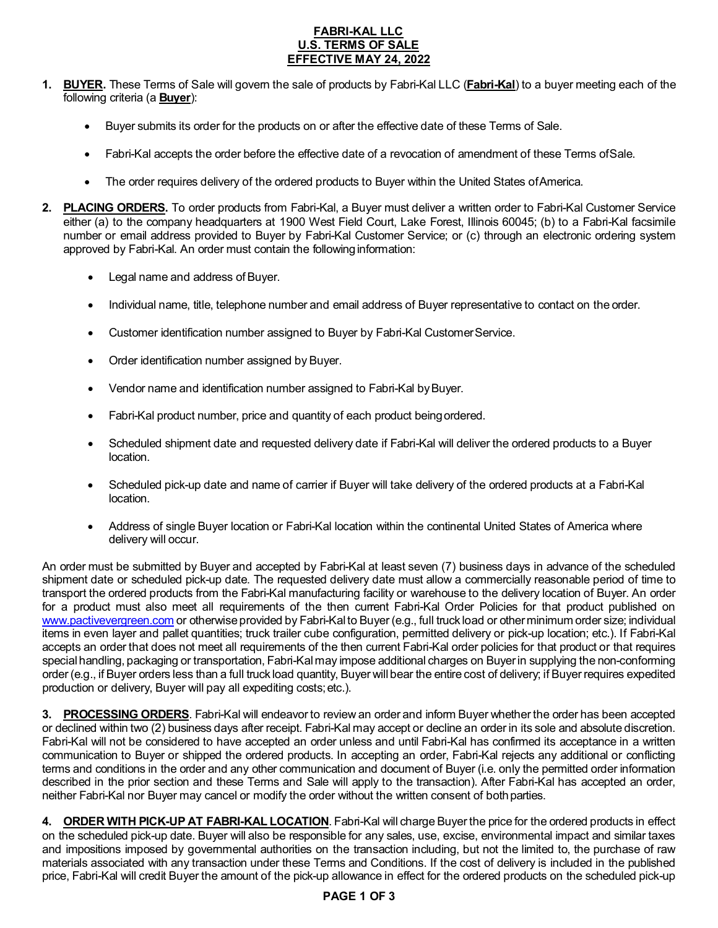# **FABRI-KAL LLC U.S. TERMS OF SALE EFFECTIVE MAY 24, 2022**

- **1. BUYER.** These Terms of Sale will govern the sale of products by Fabri-Kal LLC (**Fabri-Kal**) to a buyer meeting each of the following criteria (a **Buyer**):
	- Buyer submits its order for the products on or after the effective date of these Terms of Sale.
	- Fabri-Kal accepts the order before the effective date of a revocation of amendment of these Terms ofSale.
	- The order requires delivery of the ordered products to Buyer within the United States of America.
- **2. PLACING ORDERS.** To order products from Fabri-Kal, a Buyer must deliver a written order to Fabri-Kal Customer Service either (a) to the company headquarters at 1900 West Field Court, Lake Forest, Illinois 60045; (b) to a Fabri-Kal facsimile number or email address provided to Buyer by Fabri-Kal Customer Service; or (c) through an electronic ordering system approved by Fabri-Kal. An order must contain the following information:
	- Legal name and address of Buyer.
	- Individual name, title, telephone number and email address of Buyer representative to contact on the order.
	- Customer identification number assigned to Buyer by Fabri-Kal CustomerService.
	- Order identification number assigned by Buyer.
	- Vendor name and identification number assigned to Fabri-Kal byBuyer.
	- Fabri-Kal product number, price and quantity of each product being ordered.
	- Scheduled shipment date and requested delivery date if Fabri-Kal will deliver the ordered products to a Buyer location.
	- Scheduled pick-up date and name of carrier if Buyer will take delivery of the ordered products at a Fabri-Kal location.
	- Address of single Buyer location or Fabri-Kal location within the continental United States of America where delivery will occur.

An order must be submitted by Buyer and accepted by Fabri-Kal at least seven (7) business days in advance of the scheduled shipment date or scheduled pick-up date. The requested delivery date must allow a commercially reasonable period of time to transport the ordered products from the Fabri-Kal manufacturing facility or warehouse to the delivery location of Buyer. An order for a product must also meet all requirements of the then current Fabri-Kal Order Policies for that product published on www.pactivevergreen.com or otherwise provided by Fabri-Kalto Buyer (e.g., full truck load or other minimum order size; individual items in even layer and pallet quantities; truck trailer cube configuration, permitted delivery or pick-up location; etc.). If Fabri-Kal accepts an order that does not meet all requirements of the then current Fabri-Kal order policies for that product or that requires special handling, packaging or transportation, Fabri-Kalmay impose additional charges on Buyer in supplying the non-conforming order (e.g., if Buyer orders less than a full truck load quantity, Buyer will bear the entire cost of delivery; if Buyer requires expedited production or delivery, Buyer will pay all expediting costs;etc.).

**3. PROCESSING ORDERS**. Fabri-Kal will endeavor to review an order and inform Buyer whether the order has been accepted or declined within two (2) business days after receipt. Fabri-Kal may accept or decline an order in its sole and absolute discretion. Fabri-Kal will not be considered to have accepted an order unless and until Fabri-Kal has confirmed its acceptance in a written communication to Buyer or shipped the ordered products. In accepting an order, Fabri-Kal rejects any additional or conflicting terms and conditions in the order and any other communication and document of Buyer (i.e. only the permitted order information described in the prior section and these Terms and Sale will apply to the transaction). After Fabri-Kal has accepted an order, neither Fabri-Kal nor Buyer may cancel or modify the order without the written consent of bothparties.

**4. ORDER WITH PICK-UP AT FABRI-KAL LOCATION**. Fabri-Kal will charge Buyer the price for the ordered products in effect on the scheduled pick-up date. Buyer will also be responsible for any sales, use, excise, environmental impact and similar taxes and impositions imposed by governmental authorities on the transaction including, but not the limited to, the purchase of raw materials associated with any transaction under these Terms and Conditions. If the cost of delivery is included in the published price, Fabri-Kal will credit Buyer the amount of the pick-up allowance in effect for the ordered products on the scheduled pick-up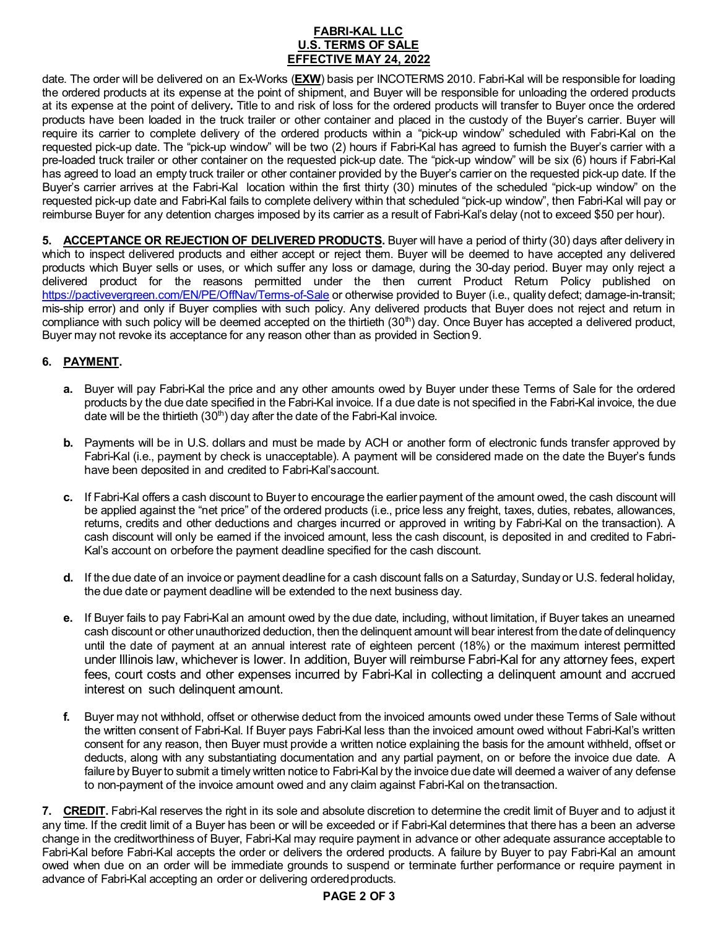# **FABRI-KAL LLC U.S. TERMS OF SALE EFFECTIVE MAY 24, 2022**

date. The order will be delivered on an Ex-Works (**EXW**) basis per INCOTERMS 2010. Fabri-Kal will be responsible for loading the ordered products at its expense at the point of shipment, and Buyer will be responsible for unloading the ordered products at its expense at the point of delivery**.** Title to and risk of loss for the ordered products will transfer to Buyer once the ordered products have been loaded in the truck trailer or other container and placed in the custody of the Buyer's carrier. Buyer will require its carrier to complete delivery of the ordered products within a "pick-up window" scheduled with Fabri-Kal on the requested pick-up date. The "pick-up window" will be two (2) hours if Fabri-Kal has agreed to furnish the Buyer's carrier with a pre-loaded truck trailer or other container on the requested pick-up date. The "pick-up window" will be six (6) hours if Fabri-Kal has agreed to load an empty truck trailer or other container provided by the Buyer's carrier on the requested pick-up date. If the Buyer's carrier arrives at the Fabri-Kal location within the first thirty (30) minutes of the scheduled "pick-up window" on the requested pick-up date and Fabri-Kal fails to complete delivery within that scheduled "pick-up window", then Fabri-Kal will pay or reimburse Buyer for any detention charges imposed by its carrier as a result of Fabri-Kal's delay (not to exceed \$50 per hour).

**5. ACCEPTANCE OR REJECTION OF DELIVERED PRODUCTS.** Buyer will have a period of thirty (30) days after delivery in which to inspect delivered products and either accept or reject them. Buyer will be deemed to have accepted any delivered products which Buyer sells or uses, or which suffer any loss or damage, during the 30-day period. Buyer may only reject a delivered product for the reasons permitted under the then current Product Return Policy published on <https://pactivevergreen.com/EN/PE/OffNav/Terms-of-Sale> or otherwise provided to Buyer (i.e., quality defect; damage-in-transit; mis-ship error) and only if Buyer complies with such policy. Any delivered products that Buyer does not reject and return in compliance with such policy will be deemed accepted on the thirtieth (30<sup>th</sup>) day. Once Buyer has accepted a delivered product, Buyer may not revoke its acceptance for any reason other than as provided in Section9.

# **6. PAYMENT.**

- **a.** Buyer will pay Fabri-Kal the price and any other amounts owed by Buyer under these Terms of Sale for the ordered products by the due date specified in the Fabri-Kal invoice. If a due date is not specified in the Fabri-Kal invoice, the due date will be the thirtieth  $(30<sup>th</sup>)$  day after the date of the Fabri-Kal invoice.
- **b.** Payments will be in U.S. dollars and must be made by ACH or another form of electronic funds transfer approved by Fabri-Kal (i.e., payment by check is unacceptable). A payment will be considered made on the date the Buyer's funds have been deposited in and credited to Fabri-Kal'saccount.
- **c.** If Fabri-Kal offers a cash discount to Buyer to encourage the earlier payment of the amount owed, the cash discount will be applied against the "net price" of the ordered products (i.e., price less any freight, taxes, duties, rebates, allowances, returns, credits and other deductions and charges incurred or approved in writing by Fabri-Kal on the transaction). A cash discount will only be earned if the invoiced amount, less the cash discount, is deposited in and credited to Fabri-Kal's account on orbefore the payment deadline specified for the cash discount.
- **d.** If the due date of an invoice or payment deadline for a cash discount falls on a Saturday, Sunday or U.S. federal holiday, the due date or payment deadline will be extended to the next business day.
- **e.** If Buyer fails to pay Fabri-Kal an amount owed by the due date, including, without limitation, if Buyer takes an unearned cash discount or other unauthorized deduction, then the delinquent amount will bear interest from the date of delinquency until the date of payment at an annual interest rate of eighteen percent (18%) or the maximum interest permitted under Illinois law, whichever is lower. In addition, Buyer will reimburse Fabri-Kal for any attorney fees, expert fees, court costs and other expenses incurred by Fabri-Kal in collecting a delinquent amount and accrued interest on such delinquent amount.
- **f.** Buyer may not withhold, offset or otherwise deduct from the invoiced amounts owed under these Terms of Sale without the written consent of Fabri-Kal. If Buyer pays Fabri-Kal less than the invoiced amount owed without Fabri-Kal's written consent for any reason, then Buyer must provide a written notice explaining the basis for the amount withheld, offset or deducts, along with any substantiating documentation and any partial payment, on or before the invoice due date. A failure by Buyer to submit a timely written notice to Fabri-Kal by the invoice due date will deemed a waiver of any defense to non-payment of the invoice amount owed and any claim against Fabri-Kal on thetransaction.

**7. CREDIT.** Fabri-Kal reserves the right in its sole and absolute discretion to determine the credit limit of Buyer and to adjust it any time. If the credit limit of a Buyer has been or will be exceeded or if Fabri-Kal determines that there has a been an adverse change in the creditworthiness of Buyer, Fabri-Kal may require payment in advance or other adequate assurance acceptable to Fabri-Kal before Fabri-Kal accepts the order or delivers the ordered products. A failure by Buyer to pay Fabri-Kal an amount owed when due on an order will be immediate grounds to suspend or terminate further performance or require payment in advance of Fabri-Kal accepting an order or delivering orderedproducts.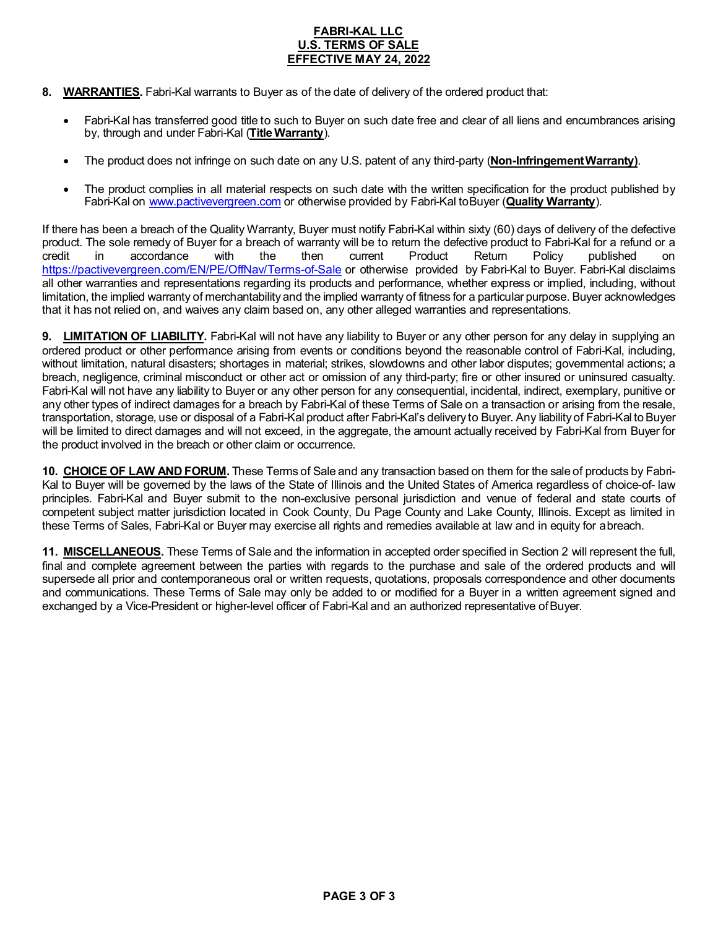### **FABRI-KAL LLC U.S. TERMS OF SALE EFFECTIVE MAY 24, 2022**

- **8. WARRANTIES.** Fabri-Kal warrants to Buyer as of the date of delivery of the ordered product that:
	- Fabri-Kal has transferred good title to such to Buyer on such date free and clear of all liens and encumbrances arising by, through and under Fabri-Kal (**Title Warranty**).
	- The product does not infringe on such date on any U.S. patent of any third-party (**Non-InfringementWarranty)**.
	- The product complies in all material respects on such date with the written specification for the product published by Fabri-Kal on [www.pactivevergreen.com](http://www.pactivevergreen.com/) or otherwise provided by Fabri-Kal toBuyer (**Quality Warranty**).

If there has been a breach of the Quality Warranty, Buyer must notify Fabri-Kal within sixty (60) days of delivery of the defective product. The sole remedy of Buyer for a breach of warranty will be to return the defective product to Fabri-Kal for a refund or a<br>credit in accordance with the then current Product Return Policy published on credit in accordance with the then current Product Return Policy published on <https://pactivevergreen.com/EN/PE/OffNav/Terms-of-Sale> or otherwise provided by Fabri-Kal to Buyer. Fabri-Kal disclaims all other warranties and representations regarding its products and performance, whether express or implied, including, without limitation, the implied warranty of merchantability and the implied warranty of fitness for a particular purpose. Buyer acknowledges that it has not relied on, and waives any claim based on, any other alleged warranties and representations.

**9. LIMITATION OF LIABILITY.** Fabri-Kal will not have any liability to Buyer or any other person for any delay in supplying an ordered product or other performance arising from events or conditions beyond the reasonable control of Fabri-Kal, including, without limitation, natural disasters; shortages in material; strikes, slowdowns and other labor disputes; governmental actions; a breach, negligence, criminal misconduct or other act or omission of any third-party; fire or other insured or uninsured casualty. Fabri-Kal will not have any liability to Buyer or any other person for any consequential, incidental, indirect, exemplary, punitive or any other types of indirect damages for a breach by Fabri-Kal of these Terms of Sale on a transaction or arising from the resale, transportation, storage, use or disposal of a Fabri-Kal product after Fabri-Kal's delivery to Buyer. Any liability of Fabri-Kal to Buyer will be limited to direct damages and will not exceed, in the aggregate, the amount actually received by Fabri-Kal from Buyer for the product involved in the breach or other claim or occurrence.

**10. CHOICE OF LAW AND FORUM.** These Terms of Sale and any transaction based on them for the sale of products by Fabri-Kal to Buyer will be governed by the laws of the State of Illinois and the United States of America regardless of choice-of- law principles. Fabri-Kal and Buyer submit to the non-exclusive personal jurisdiction and venue of federal and state courts of competent subject matter jurisdiction located in Cook County, Du Page County and Lake County, Illinois. Except as limited in these Terms of Sales, Fabri-Kal or Buyer may exercise all rights and remedies available at law and in equity for abreach.

**11. MISCELLANEOUS.** These Terms of Sale and the information in accepted order specified in Section 2 will represent the full, final and complete agreement between the parties with regards to the purchase and sale of the ordered products and will supersede all prior and contemporaneous oral or written requests, quotations, proposals correspondence and other documents and communications. These Terms of Sale may only be added to or modified for a Buyer in a written agreement signed and exchanged by a Vice-President or higher-level officer of Fabri-Kal and an authorized representative ofBuyer.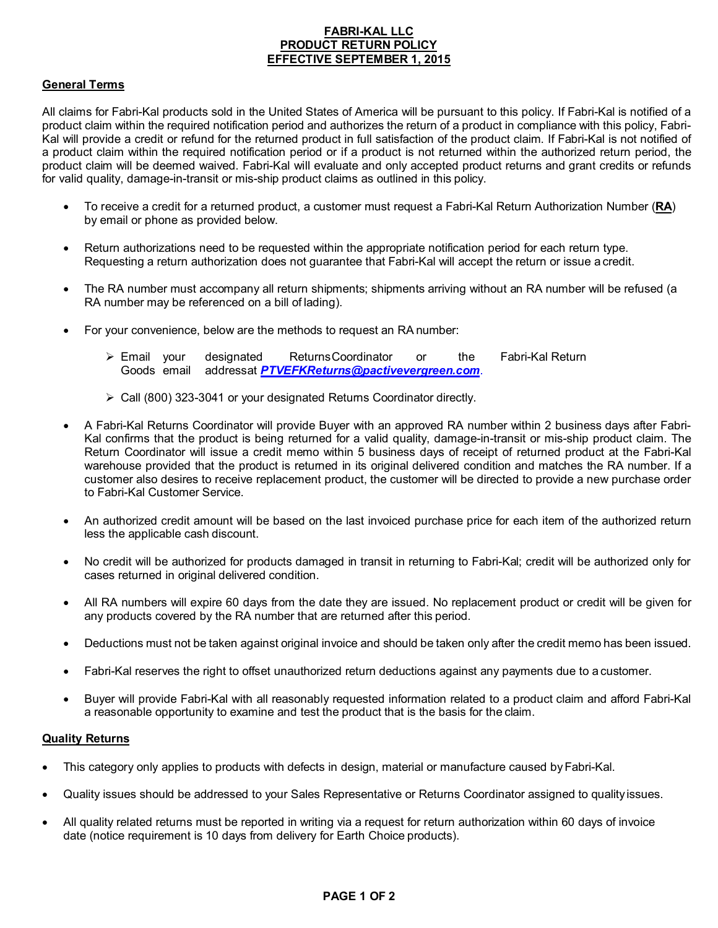# **FABRI-KAL LLC PRODUCT RETURN POLICY EFFECTIVE SEPTEMBER 1, 2015**

# **General Terms**

All claims for Fabri-Kal products sold in the United States of America will be pursuant to this policy. If Fabri-Kal is notified of a product claim within the required notification period and authorizes the return of a product in compliance with this policy, Fabri-Kal will provide a credit or refund for the returned product in full satisfaction of the product claim. If Fabri-Kal is not notified of a product claim within the required notification period or if a product is not returned within the authorized return period, the product claim will be deemed waived. Fabri-Kal will evaluate and only accepted product returns and grant credits or refunds for valid quality, damage-in-transit or mis-ship product claims as outlined in this policy.

- To receive a credit for a returned product, a customer must request a Fabri-Kal Return Authorization Number (**RA**) by email or phone as provided below.
- Return authorizations need to be requested within the appropriate notification period for each return type. Requesting a return authorization does not guarantee that Fabri-Kal will accept the return or issue a credit.
- The RA number must accompany all return shipments; shipments arriving without an RA number will be refused (a RA number may be referenced on a bill of lading).
- For your convenience, below are the methods to request an RA number:
	- Email your designated ReturnsCoordinator or the Fabri-Kal Return Goods email addressat *[PTVEFKReturns@pactivevergreen.com](mailto:PTVEFKReturns@pactivevergreen.com)*.
	- Call (800) 323-3041 or your designated Returns Coordinator directly.
- A Fabri-Kal Returns Coordinator will provide Buyer with an approved RA number within 2 business days after Fabri-Kal confirms that the product is being returned for a valid quality, damage-in-transit or mis-ship product claim. The Return Coordinator will issue a credit memo within 5 business days of receipt of returned product at the Fabri-Kal warehouse provided that the product is returned in its original delivered condition and matches the RA number. If a customer also desires to receive replacement product, the customer will be directed to provide a new purchase order to Fabri-Kal Customer Service.
- An authorized credit amount will be based on the last invoiced purchase price for each item of the authorized return less the applicable cash discount.
- No credit will be authorized for products damaged in transit in returning to Fabri-Kal; credit will be authorized only for cases returned in original delivered condition.
- All RA numbers will expire 60 days from the date they are issued. No replacement product or credit will be given for any products covered by the RA number that are returned after this period.
- Deductions must not be taken against original invoice and should be taken only after the credit memo has been issued.
- Fabri-Kal reserves the right to offset unauthorized return deductions against any payments due to a customer.
- Buyer will provide Fabri-Kal with all reasonably requested information related to a product claim and afford Fabri-Kal a reasonable opportunity to examine and test the product that is the basis for the claim.

#### **Quality Returns**

- This category only applies to products with defects in design, material or manufacture caused byFabri-Kal.
- Quality issues should be addressed to your Sales Representative or Returns Coordinator assigned to quality issues.
- All quality related returns must be reported in writing via a request for return authorization within 60 days of invoice date (notice requirement is 10 days from delivery for Earth Choice products).